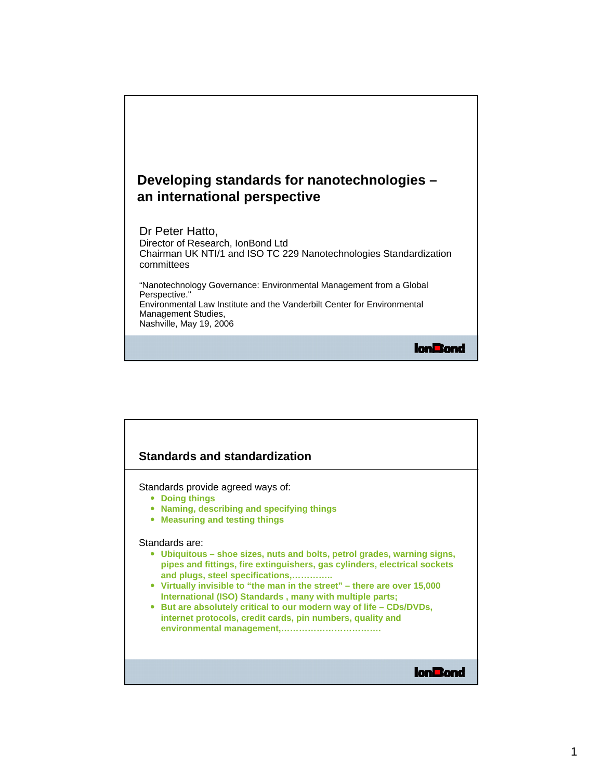## **Developing standards for nanotechnologies – an international perspective**  Dr Peter Hatto,

Director of Research, IonBond Ltd Chairman UK NTI/1 and ISO TC 229 Nanotechnologies Standardization committees

"Nanotechnology Governance: Environmental Management from a Global Perspective." Environmental Law Institute and the Vanderbilt Center for Environmental Management Studies, Nashville, May 19, 2006

**lonBond** 

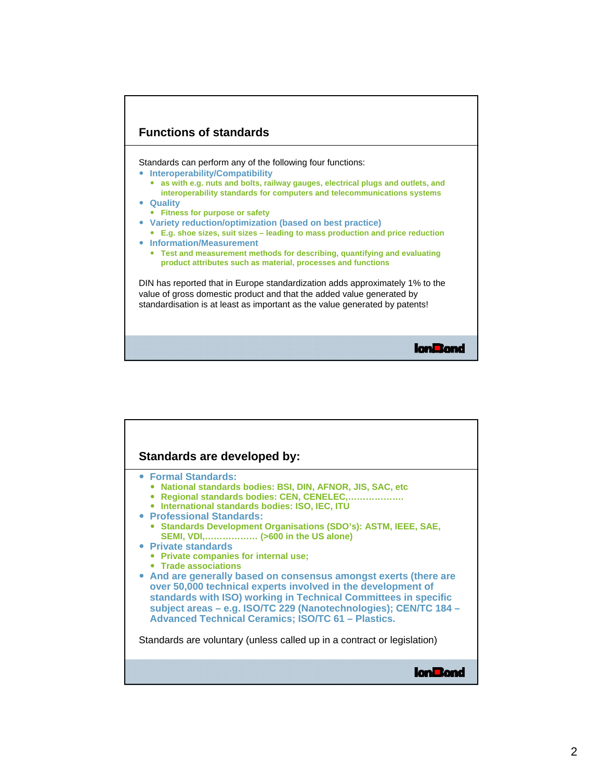

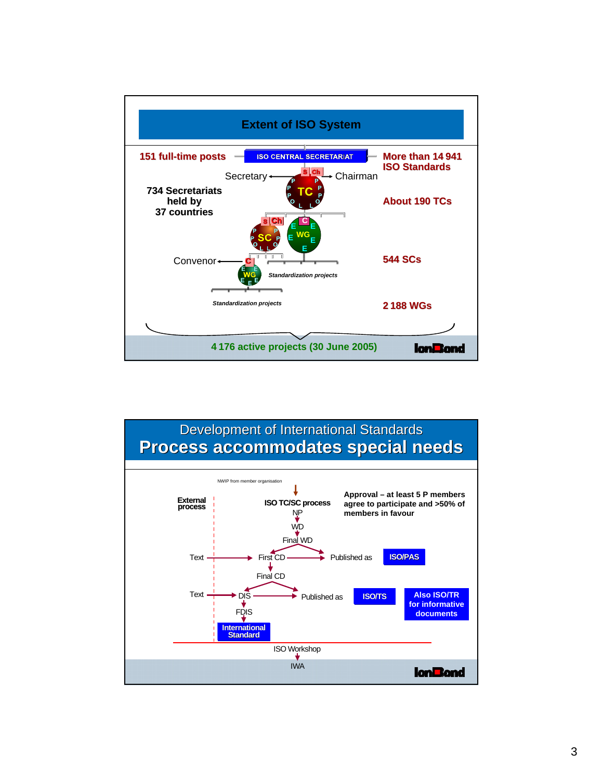

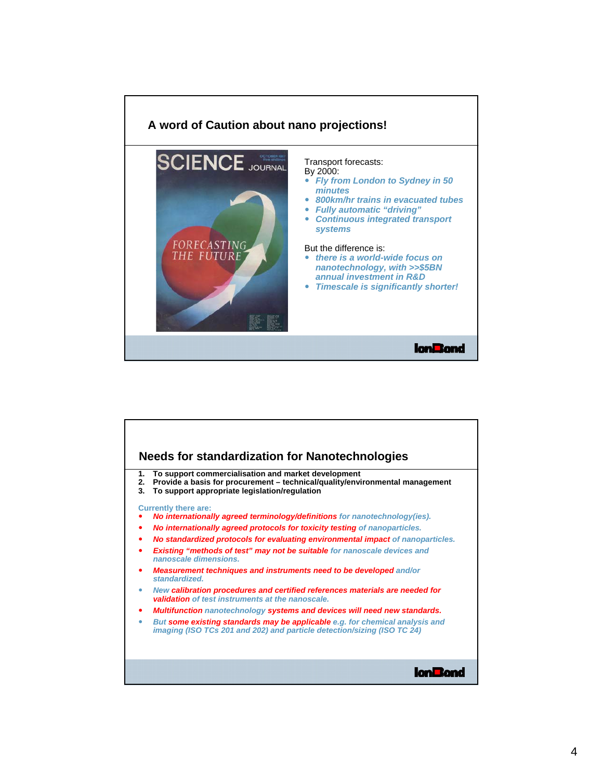

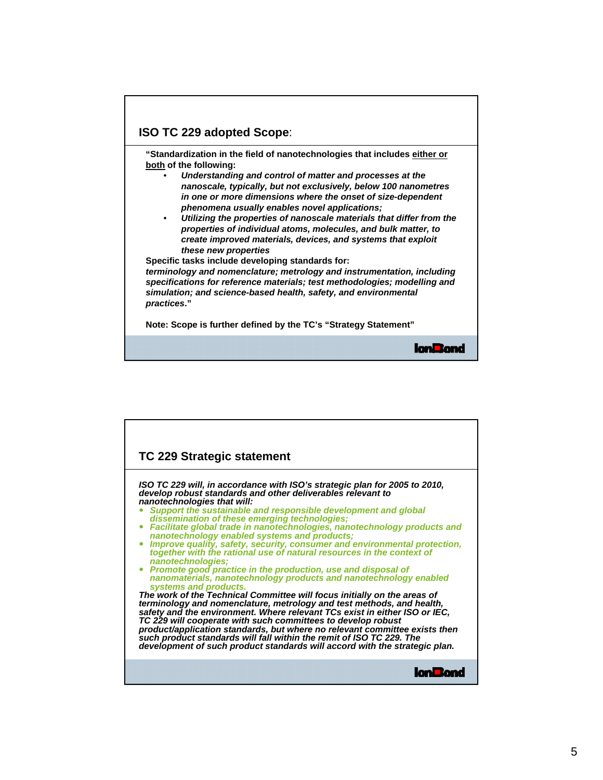## **ISO TC 229 adopted Scope**:

**"Standardization in the field of nanotechnologies that includes either or both of the following:**

- *Understanding and control of matter and processes at the nanoscale, typically, but not exclusively, below 100 nanometres in one or more dimensions where the onset of size-dependent phenomena usually enables novel applications;*
- *Utilizing the properties of nanoscale materials that differ from the properties of individual atoms, molecules, and bulk matter, to create improved materials, devices, and systems that exploit these new properties*

**Specific tasks include developing standards for:**  *terminology and nomenclature; metrology and instrumentation, including specifications for reference materials; test methodologies; modelling and simulation; and science-based health, safety, and environmental practices***."**

**Note: Scope is further defined by the TC's "Strategy Statement"**

**lonBond** 

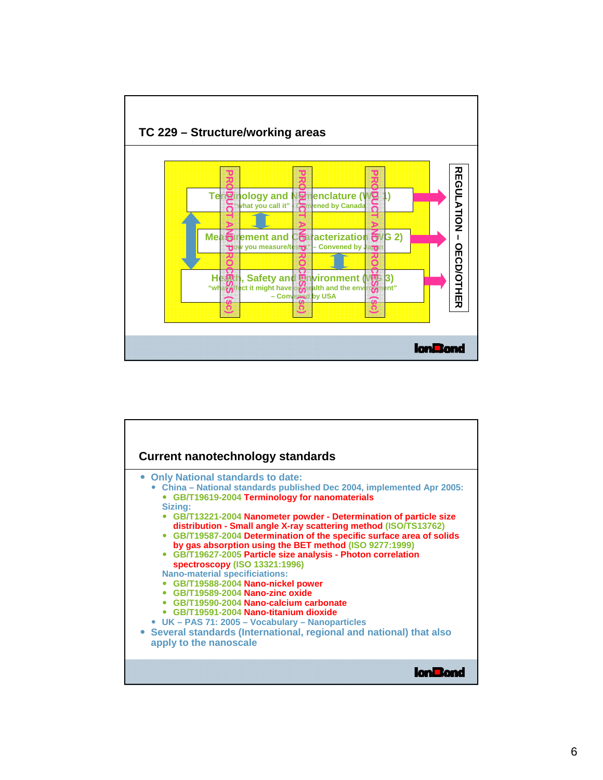

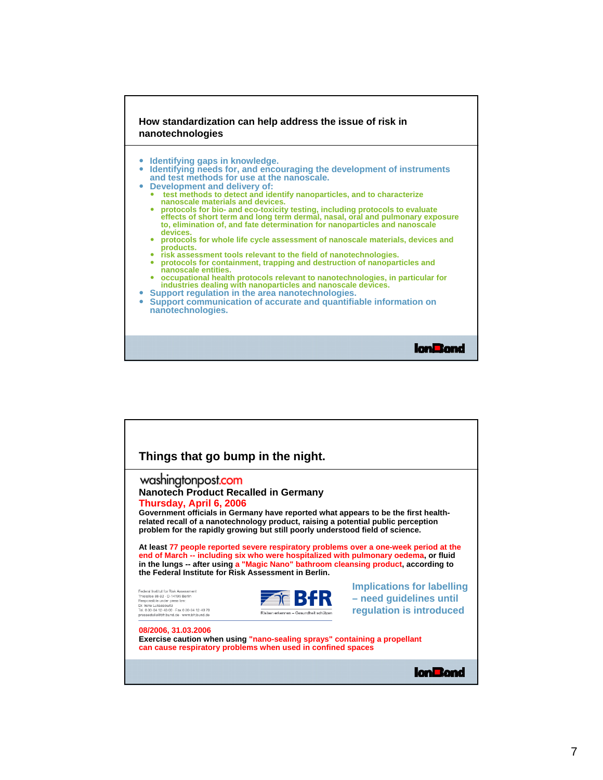

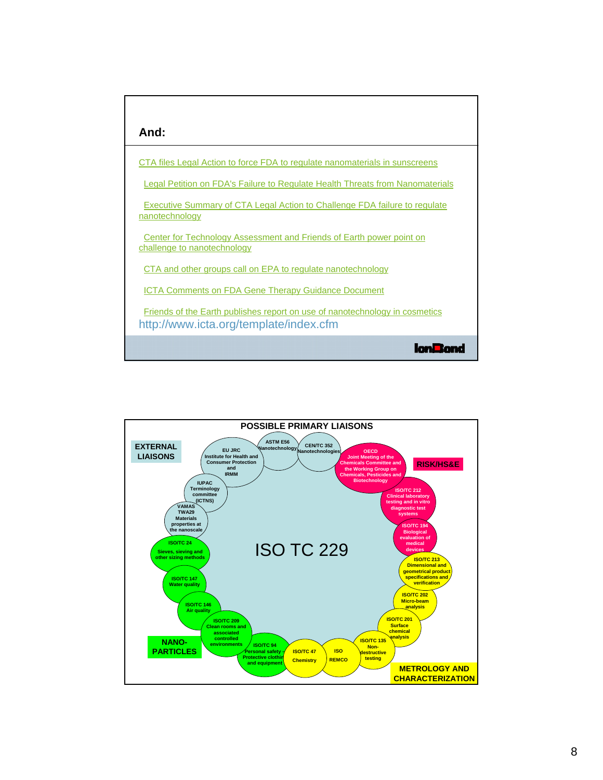